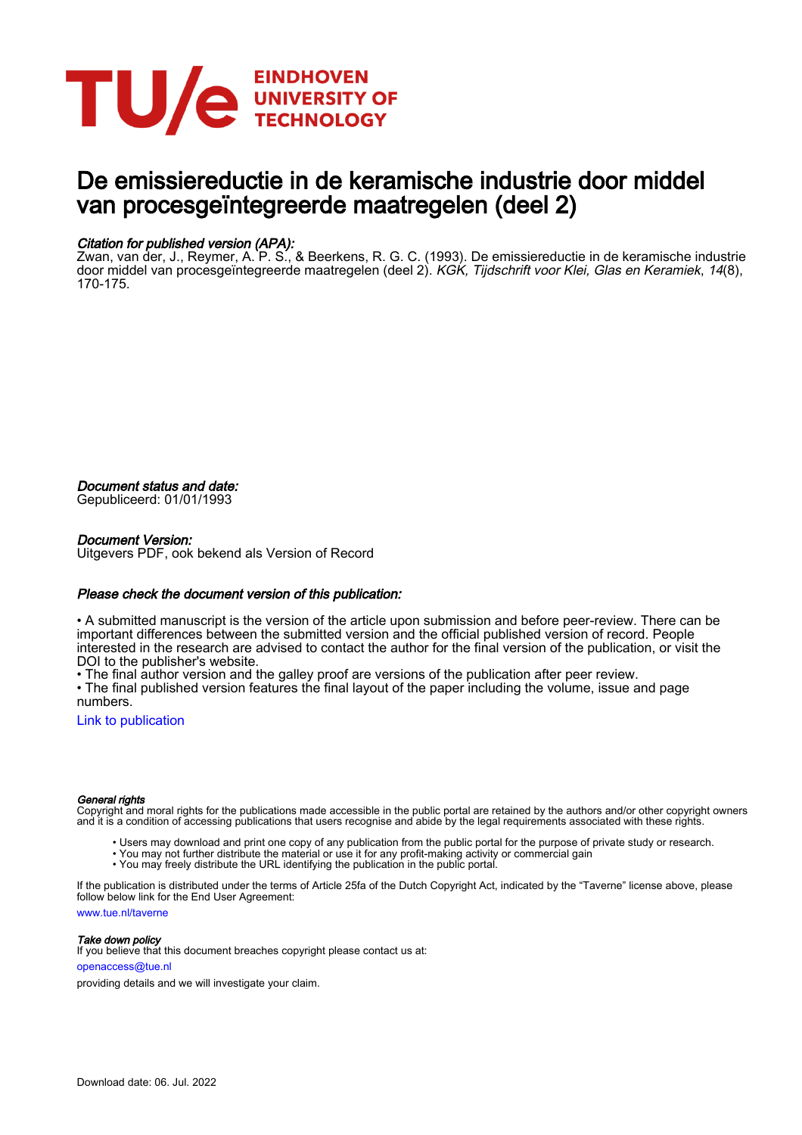

## De emissiereductie in de keramische industrie door middel van procesgeïntegreerde maatregelen (deel 2)

#### Citation for published version (APA):

Zwan, van der, J., Reymer, A. P. S., & Beerkens, R. G. C. (1993). De emissiereductie in de keramische industrie door middel van procesgeïntegreerde maatregelen (deel 2). *KGK, Tijdschrift voor Klei, Glas en Keramiek*, 14(8), 170-175.

Document status and date:

Gepubliceerd: 01/01/1993

#### Document Version:

Uitgevers PDF, ook bekend als Version of Record

#### Please check the document version of this publication:

• A submitted manuscript is the version of the article upon submission and before peer-review. There can be important differences between the submitted version and the official published version of record. People interested in the research are advised to contact the author for the final version of the publication, or visit the DOI to the publisher's website.

• The final author version and the galley proof are versions of the publication after peer review.

• The final published version features the final layout of the paper including the volume, issue and page numbers.

[Link to publication](https://research.tue.nl/nl/publications/5f989c37-b6d2-4521-8370-bbdcfa94a793)

#### General rights

Copyright and moral rights for the publications made accessible in the public portal are retained by the authors and/or other copyright owners and it is a condition of accessing publications that users recognise and abide by the legal requirements associated with these rights.

- Users may download and print one copy of any publication from the public portal for the purpose of private study or research.
- You may not further distribute the material or use it for any profit-making activity or commercial gain
- You may freely distribute the URL identifying the publication in the public portal.

If the publication is distributed under the terms of Article 25fa of the Dutch Copyright Act, indicated by the "Taverne" license above, please follow below link for the End User Agreement:

www.tue.nl/taverne

**Take down policy**<br>If you believe that this document breaches copyright please contact us at:

openaccess@tue.nl

providing details and we will investigate your claim.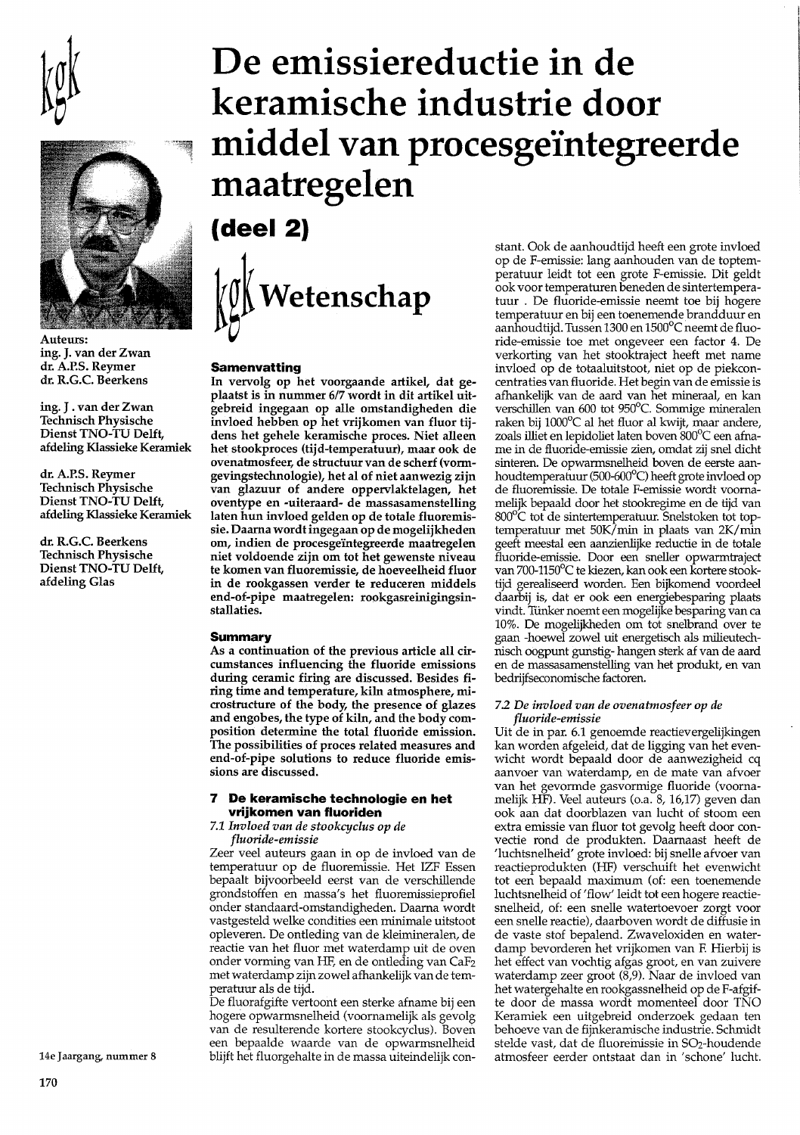



Auteurs: ing. J. van der Zwan dr. A.P.S. Reymer dr. R.G.C. Beerkens

ing. J. van der Zwan **Technisch Physische** Dienst TNO-TU Delft, afdeling Klassieke Keramiek

dr. A.P.S. Reymer **Technisch Physische** Dienst TNO-TU Delft, afdeling Klassieke Keramiek

dr. R.G.C. Beerkens **Technisch Physische** Dienst TNO-TU Delft, afdeling Glas

# De emissiereductie in de keramische industrie door middel van procesgeïntegreerde maatregelen  $(deel 2)$

Wetenschap

#### **Samenvatting**

In vervolg op het voorgaande artikel, dat geplaatst is in nummer 6/7 wordt in dit artikel uitgebreid ingegaan op alle omstandigheden die invloed hebben op het vrijkomen van fluor tijdens het gehele keramische proces. Niet alleen het stookproces (tijd-temperatuur), maar ook de ovenatmosfeer, de structuur van de scherf (vormgevingstechnologie), het al of niet aanwezig zijn van glazuur of andere oppervlaktelagen, het oventype en -uiteraard- de massasamenstelling laten hun invloed gelden op de totale fluoremissie. Daarna wordt ingegaan op de mogelijkheden om, indien de procesgeïntegreerde maatregelen niet voldoende zijn om tot het gewenste niveau te komen van fluoremissie, de hoeveelheid fluor in de rookgassen verder te reduceren middels end-of-pipe maatregelen: rookgasreinigingsinstallaties.

#### **Summary**

As a continuation of the previous article all circumstances influencing the fluoride emissions during ceramic firing are discussed. Besides firing time and temperature, kiln atmosphere, microstructure of the body, the presence of glazes and engobes, the type of kiln, and the body composition determine the total fluoride emission. The possibilities of proces related measures and end-of-pipe solutions to reduce fluoride emissions are discussed.

#### $\overline{\mathbf{z}}$ De keramische technologie en het vrijkomen van fluoriden

7.1 Invloed van de stookcyclus op de

fluoride-emissie

Zeer veel auteurs gaan in op de invloed van de temperatuur op de fluoremissie. Het IZF Essen bepaalt bijvoorbeeld eerst van de verschillende grondstoffen en massa's het fluoremissieprofiel onder standaard-omstandigheden. Daarna wordt vastgesteld welke condities een minimale uitstoot opleveren. De ontleding van de kleimineralen, de reactie van het fluor met waterdamp uit de oven onder vorming van HF, en de ontleding van CaF2 met waterdamp zijn zowel afhankelijk van de temperatuur als de tijd.

De fluorafgifte vertoont een sterke afname bij een hogere opwarmsnelheid (voornamelijk als gevolg van de resulterende kortere stookcyclus). Boven een bepaalde waarde van de opwarmsnelheid blijft het fluorgehalte in de massa uiteindelijk constant. Ook de aanhoudtijd heeft een grote invloed op de F-emissie: lang aanhouden van de toptemperatuur leidt tot een grote F-emissie. Dit geldt ook voor temperaturen beneden de sintertemperatuur. De fluoride-emissie neemt toe bij hogere temperatuur en bij een toenemende brandduur en aanhoudtijd. Tussen 1300 en 1500°C neemt de fluoride-emissie toe met ongeveer een factor 4. De verkorting van het stooktraject heeft met name invloed op de totaaluitstoot, niet op de piekconcentraties van fluoride. Het begin van de emissie is afhankelijk van de aard van het mineraal, en kan verschillen van 600 tot 950°C. Sommige mineralen raken bij 1000°C al het fluor al kwijt, maar andere, zoals illiet en lepidoliet laten boven 800°C een afname in de fluoride-emissie zien, omdat zij snel dicht sinteren. De opwarmsnelheid boven de eerste aanhoudtemperatuur (500-600°C) heeft grote invloed op de fluoremissie. De totale F-emissie wordt voornamelijk bepaald door het stookregime en de tijd van 800°C tot de sintertemperatuur. Snelstoken tot toptemperatuur met 50K/min in plaats van 2K/min geeft meestal een aanzienlijke reductie in de totale fluoride-emissie. Door een sneller opwarmtraject van 700-1150°C te kiezen, kan ook een kortere stooktijd gerealiseerd worden. Een bijkomend voordeel daarbij is, dat er ook een energiebesparing plaats vindt. Tünker noemt een mogelijke besparing van ca 10%. De mogelijkheden om tot snelbrand over te gaan -hoewel zowel uit energetisch als milieutechnisch oogpunt gunstig- hangen sterk af van de aard en de massasamenstelling van het produkt, en van bedrijfseconomische factoren.

#### 7.2 De invloed van de ovenatmosfeer op de fluoride-emissie

Uit de in par. 6.1 genoemde reactievergelijkingen kan worden afgeleid, dat de ligging van het evenwicht wordt bepaald door de aanwezigheid cq aanvoer van waterdamp, en de mate van afvoer van het gevormde gasvormige fluoride (voornamelijk HF). Veel auteurs (o.a. 8, 16,17) geven dan ook aan dat doorblazen van lucht of stoom een extra emissie van fluor tot gevolg heeft door convectie rond de produkten. Daarnaast heeft de 'luchtsnelheid' grote invloed: bij snelle afvoer van reactieprodukten (HF) verschuift het evenwicht tot een bepaald maximum (of: een toenemende luchtsnelheid of 'flow' leidt tot een hogere reactiesnelheid, of: een snelle watertoevoer zorgt voor een snelle reactie), daarboven wordt de diffusie in de vaste stof bepalend. Zwaveloxiden en waterdamp bevorderen het vrijkomen van F. Hierbij is het effect van vochtig afgas groot, en van zuivere<br>waterdamp zeer groot (8,9). Naar de invloed van het watergehalte en rookgassnelheid op de F-afgifte door de massa wordt momenteel door TNO Keramiek een uitgebreid onderzoek gedaan ten behoeve van de fijnkeramische industrie. Schmidt stelde vast, dat de fluoremissie in SO<sub>2</sub>-houdende atmosfeer eerder ontstaat dan in 'schone' lucht.

14e Jaargang, nummer 8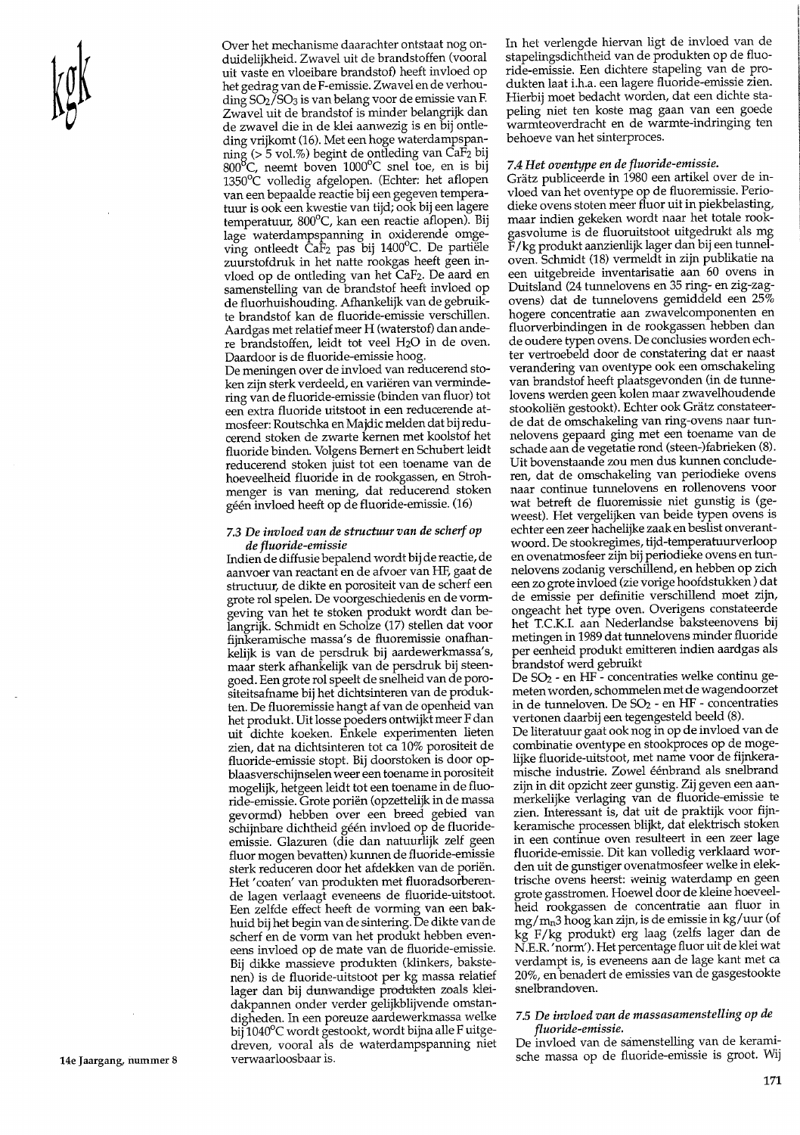Over het mechanisme daarachter ontstaat nog onduidelijkheid. Zwavel uit de brandstoffen (vooral uit vaste en vloeibare brandstof) heeft invloed op het gedrag van de F-emissie. Zwavel en de verhouding SO<sub>2</sub>/SO<sub>3</sub> is van belang voor de emissie van F. Zwavel uit de brandstof is minder belangrijk dan de zwavel die in de klei aanwezig is en bij ontleding vrijkomt (16). Met een hoge waterdampspanning (> 5 vol.%) begint de ontleding van Ca $F_2$  bij 800<sup>o</sup>C, neemt boven 1000<sup>o</sup>C snel toe, en is bij  $1350^{\circ}$ C volledig afgelopen. (Echter: het aflopen van een bepaalde reactie bij een gegeven temperatuur is ook een kwestie van tijd; ook bij een lagere temperatuur, 800°C, kan een reactie aflopen). Bij lage waterdampspanning in oxiderende omge-<br>ving ontleedt CaF<sub>2</sub> pas bij 1400°C. De partiële zuurstofdruk in het natte rookgas heeft geen invloed op de ontleding van het CaF2. De aard en samenstelling van de brandstof heeft invloed op de fluorhuishouding. Afhankelijk van de gebruikte brandstof kan de fluoride-emissie verschillen. Aardgas met relatief meer H (waterstof) dan andere brandstoffen, leidt tot veel H<sub>2</sub>O in de oven. Daardoor is de fluoride-emissie hoog.

De meningen over de invloed van reducerend stoken zijn sterk verdeeld, en variëren van vermindering van de fluoride-emissie (binden van fluor) tot een extra fluoride uitstoot in een reducerende atmosfeer: Routschka en Majdic melden dat bij reducerend stoken de zwarte kernen met koolstof het fluoride binden. Volgens Bernert en Schubert leidt reducerend stoken juist tot een toename van de hoeveelheid fluoride in de rookgassen, en Strohmenger is van mening, dat reducerend stoken géén invloed heeft op de fluoride-emissie. (16)

#### 7.3 De invloed van de structuur van de scherf op de fluoride-emissie

Indien de diffusie bepalend wordt bij de reactie, de aanvoer van reactant en de afvoer van HF, gaat de structuur, de dikte en porositeit van de scherf een grote rol spelen. De voorgeschiedenis en de vormgeving van het te stoken produkt wordt dan belangrijk. Schmidt en Scholze (17) stellen dat voor fijnkeramische massa's de fluoremissie onafhankelijk is van de persdruk bij aardewerkmassa's, maar sterk afhankelijk van de persdruk bij steengoed. Een grote rol speelt de snelheid van de porositeitsafname bij het dichtsinteren van de produkten. De fluoremissie hangt af van de openheid van het produkt. Uit losse poeders ontwijkt meer F dan uit dichte koeken. Enkele experimenten lieten zien, dat na dichtsinteren tot ca 10% porositeit de fluoride-emissie stopt. Bij doorstoken is door opblaasverschijnselen weer een toename in porositeit mogelijk, hetgeen leidt tot een toename in de fluoride-emissie. Grote poriën (opzettelijk in de massa gevormd) hebben over een breed gebied van schijnbare dichtheid géén invloed op de fluorideemissie. Glazuren (die dan natuurlijk zelf geen fluor mogen bevatten) kunnen de fluoride-emissie sterk reduceren door het afdekken van de poriën. Het 'coaten' van produkten met fluoradsorberende lagen verlaagt eveneens de fluoride-uitstoot. Een zelfde effect heeft de vorming van een bakhuid bij het begin van de sintering. De dikte van de scherf en de vorm van het produkt hebben eveneens invloed op de mate van de fluoride-emissie. Bij dikke massieve produkten (klinkers, bakstenen) is de fluoride-uitstoot per kg massa relatief lager dan bij dunwandige produkten zoals kleidakpannen onder verder gelijkblijvende omstandigheden. In een poreuze aardewerkmassa welke bij 1040°C wordt gestookt, wordt bijna alle Fuitgedreven, vooral als de waterdampspanning niet verwaarloosbaar is.

In het verlengde hiervan ligt de invloed van de stapelingsdichtheid van de produkten op de fluoride-emissie. Een dichtere stapeling van de produkten laat i.h.a. een lagere fluoride-emissie zien. Hierbij moet bedacht worden, dat een dichte stapeling niet ten koste mag gaan van een goede warmteoverdracht en de warmte-indringing ten behoeve van het sinterproces.

### 7.4 Het oventype en de fluoride-emissie.

Grätz publiceerde in 1980 een artikel over de invloed van het oventype op de fluoremissie. Periodieke ovens stoten meer fluor uit in piekbelasting, maar indien gekeken wordt naar het totale rookgasvolume is de fluoruitstoot uitgedrukt als mg F/kg produkt aanzienlijk lager dan bij een tunneloven. Schmidt (18) vermeldt in zijn publikatie na een uitgebreide inventarisatie aan 60 ovens in Duitsland (24 tunnelovens en 35 ring- en zig-zagovens) dat de tunnelovens gemiddeld een 25% hogere concentratie aan zwavelcomponenten en fluorverbindingen in de rookgassen hebben dan de oudere typen ovens. De conclusies worden echter vertroebeld door de constatering dat er naast verandering van oventype ook een omschakeling van brandstof heeft plaatsgevonden (in de tunnelovens werden geen kolen maar zwavelhoudende stookoliën gestookt). Echter ook Grätz constateerde dat de omschakeling van ring-ovens naar tunnelovens gepaard ging met een toename van de schade aan de vegetatie rond (steen-)fabrieken (8). Uit bovenstaande zou men dus kunnen concluderen, dat de omschakeling van periodieke ovens naar continue tunnelovens en rollenovens voor wat betreft de fluoremissie niet gunstig is (geweest). Het vergelijken van beide typen ovens is echter een zeer hachelijke zaak en beslist onverantwoord. De stookregimes, tijd-temperatuurverloop en ovenatmosfeer zijn bij periodieke ovens en tunnelovens zodanig verschillend, en hebben op zich een zo grote invloed (zie vorige hoofdstukken) dat de emissie per definitie verschillend moet zijn, ongeacht het type oven. Overigens constateerde het T.C.K.I. aan Nederlandse baksteenovens bij metingen in 1989 dat tunnelovens minder fluoride per eenheid produkt emitteren indien aardgas als brandstof werd gebruikt

De SO<sub>2</sub> - en HF - concentraties welke continu gemeten worden, schommelen met de wagendoorzet in de tunneloven. De SO<sub>2</sub> - en HF - concentraties vertonen daarbij een tegengesteld beeld (8).

De literatuur gaat ook nog in op de invloed van de combinatie oventype en stookproces op de mogelijke fluoride-uitstoot, met name voor de fijnkeramische industrie. Zowel éénbrand als snelbrand zijn in dit opzicht zeer gunstig. Zij geven een aanmerkelijke verlaging van de fluoride-emissie te zien. Interessant is, dat uit de praktijk voor fijnkeramische processen blijkt, dat elektrisch stoken in een continue oven resulteert in een zeer lage fluoride-emissie. Dit kan volledig verklaard worden uit de gunstiger ovenatmosfeer welke in elektrische ovens heerst: weinig waterdamp en geen grote gasstromen. Hoewel door de kleine hoeveelheid rookgassen de concentratie aan fluor in mg/m<sub>n</sub>3 hoog kan zijn, is de emissie in kg/uur (of kg F/kg produkt) erg laag (zelfs lager dan de N.E.R. 'norm'). Het percentage fluor uit de klei wat verdampt is, is eveneens aan de lage kant met ca 20%, en benadert de emissies van de gasgestookte snelbrandoven.

#### 7.5 De invloed van de massasamenstelling op de fluoride-emissie.

De invloed van de samenstelling van de keramische massa op de fluoride-emissie is groot. Wij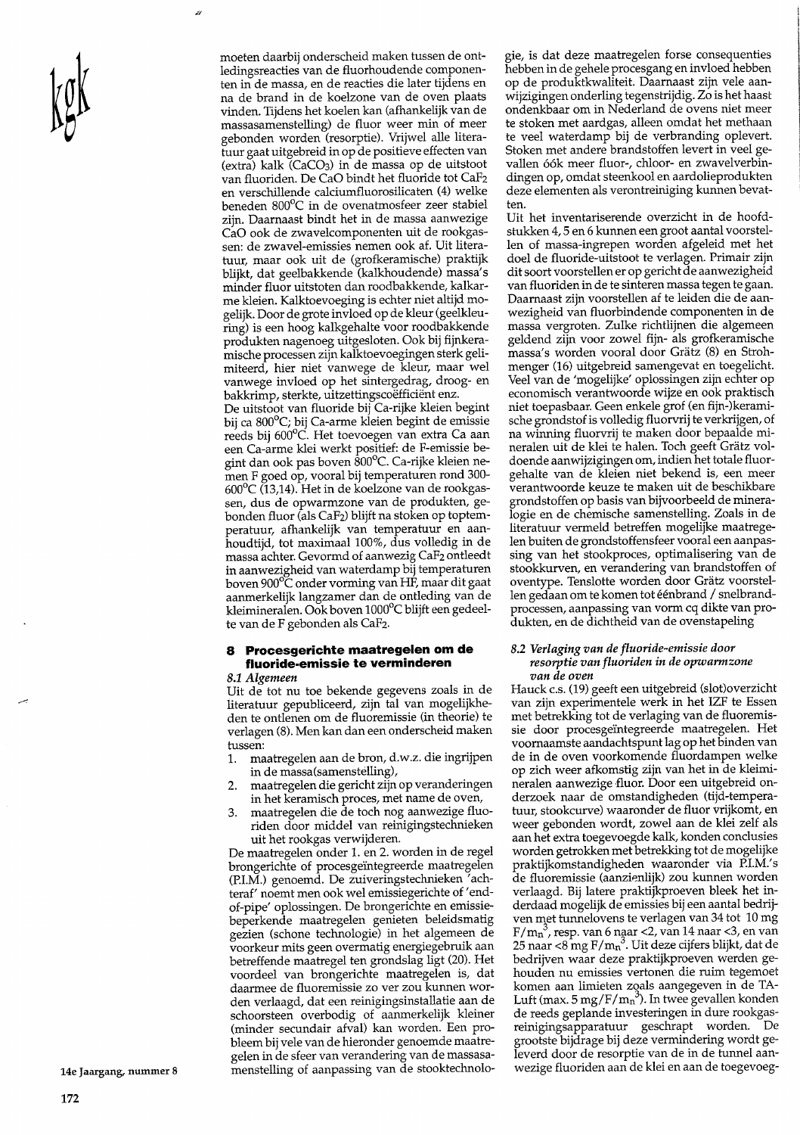moeten daarbij onderscheid maken tussen de ontledingsreacties van de fluorhoudende componenten in de massa, en de reacties die later tijdens en na de brand in de koelzone van de oven plaats vinden. Tijdens het koelen kan (afhankelijk van de massasamenstelling) de fluor weer min of meer gebonden worden (resorptie). Vrijwel alle literatuur gaat uitgebreid in op de positieve effecten van (extra) kalk (CaCO<sub>3</sub>) in de massa op de uitstoot van fluoriden. De CaO bindt het fluoride tot CaF2 en verschillende calciumfluorosilicaten (4) welke beneden 800°C in de ovenatmosfeer zeer stabiel zijn. Daarnaast bindt het in de massa aanwezige CaO ook de zwavelcomponenten uit de rookgassen: de zwavel-emissies nemen ook af. Uit literatuur, maar ook uit de (grofkeramische) praktijk blijkt, dat geelbakkende (kalkhoudende) massa's minder fluor uitstoten dan roodbakkende, kalkarme kleien. Kalktoevoeging is echter niet altijd mogelijk. Door de grote invloed op de kleur (geelkleuring) is een hoog kalkgehalte voor roodbakkende produkten nagenoeg uitgesloten. Ook bij fijnkeramische processen zijn kalktoevoegingen sterk gelimiteerd, hier niet vanwege de kleur, maar wel vanwege invloed op het sintergedrag, droog- en bakkrimp, sterkte, uitzettingscoëfficiënt enz. De uitstoot van fluoride bij Ca-rijke kleien begint bij ca 800°C; bij Ca-arme kleien begint de emissie reeds bij 600°C. Het toevoegen van extra Ca aan een Ca-arme klei werkt positief: de F-emissie begint dan ook pas boven 800°C. Ca-rijke kleien nemen F goed op, vooral bij temperaturen rond 300- $600^{\circ}$ C (13,14). Het in de koelzone van de rookgassen, dus de opwarmzone van de produkten, gebonden fluor (als CaF2) blijft na stoken op toptemperatuur, afhankelijk van temperatuur en aanhoudtijd, tot maximaal 100%, dus volledig in de massa achter. Gevormd of aanwezig CaF<sub>2</sub> ontleedt in aanwezigheid van waterdamp bij temperaturen boven 900°C onder vorming van HF, maar dit gaat aanmerkelijk langzamer dan de ontleding van de kleimineralen. Ook boven 1000°C blijft een gedeelte van de F gebonden als CaF2.

#### Procesgerichte maatregelen om de 8 fluoride-emissie te verminderen

8.1 Algemeen

Uit de tot nu toe bekende gegevens zoals in de literatuur gepubliceerd, zijn tal van mogelijkheden te ontlenen om de fluoremissie (in theorie) te verlagen (8). Men kan dan een onderscheid maken tussen:

- maatregelen aan de bron, d.w.z. die ingrijpen 1. in de massa(samenstelling),
- maatregelen die gericht zijn op veranderingen  $2.$ in het keramisch proces, met name de oven,
- maatregelen die de toch nog aanwezige fluo-3. riden door middel van reinigingstechnieken uit het rookgas verwijderen.

De maatregelen onder 1. en 2. worden in de regel brongerichte of procesgeïntegreerde maatregelen (P.I.M.) genoemd. De zuiveringstechnieken 'achteraf' noemt men ook wel emissiegerichte of 'endof-pipe' oplossingen. De brongerichte en emissiebeperkende maatregelen genieten beleidsmatig gezien (schone technologie) in het algemeen de voorkeur mits geen overmatig energiegebruik aan betreffende maatregel ten grondslag ligt (20). Het voordeel van brongerichte maatregelen is, dat daarmee de fluoremissie zo ver zou kunnen worden verlaagd, dat een reinigingsinstallatie aan de schoorsteen overbodig of aanmerkelijk kleiner (minder secundair afval) kan worden. Een probleem bij vele van de hieronder genoemde maatregelen in de sfeer van verandering van de massasamenstelling of aanpassing van de stooktechnologie, is dat deze maatregelen forse consequenties hebben in de gehele procesgang en invloed hebben op de produktkwaliteit. Daarnaast zijn vele aanwijzigingen onderling tegenstrijdig. Zo is het haast ondenkbaar om in Nederland de ovens niet meer te stoken met aardgas, alleen omdat het methaan te veel waterdamp bij de verbranding oplevert. Stoken met andere brandstoffen levert in veel gevallen óók meer fluor-, chloor- en zwavelverbindingen op, omdat steenkool en aardolieprodukten deze elementen als verontreiniging kunnen bevatten.

Uit het inventariserende overzicht in de hoofdstukken 4,5 en 6 kunnen een groot aantal voorstellen of massa-ingrepen worden afgeleid met het doel de fluoride-uitstoot te verlagen. Primair zijn dit soort voorstellen er op gericht de aanwezigheid van fluoriden in de te sinteren massa tegen te gaan. Daarnaast zijn voorstellen af te leiden die de aanwezigheid van fluorbindende componenten in de massa vergroten. Zulke richtlijnen die algemeen geldend zijn voor zowel fijn- als grofkeramische massa's worden vooral door Grätz (8) en Strohmenger (16) uitgebreid samengevat en toegelicht. Veel van de 'mogelijke' oplossingen zijn echter op economisch verantwoorde wijze en ook praktisch niet toepasbaar. Geen enkele grof (en fijn-)keramische grondstof is volledig fluorvrij te verkrijgen, of na winning fluorvrij te maken door bepaalde mineralen uit de klei te halen. Toch geeft Grätz voldoende aanwijzigingen om, indien het totale fluorgehalte van de kleien niet bekend is, een meer verantwoorde keuze te maken uit de beschikbare grondstoffen op basis van bijvoorbeeld de mineralogie en de chemische samenstelling. Zoals in de literatuur vermeld betreffen mogelijke maatregelen buiten de grondstoffensfeer vooral een aanpassing van het stookproces, optimalisering van de stookkurven, en verandering van brandstoffen of oventype. Tenslotte worden door Grätz voorstellen gedaan om te komen tot éénbrand / snelbrandprocessen, aanpassing van vorm cq dikte van produkten, en de dichtheid van de ovenstapeling

#### 8.2 Verlaging van de fluoride-emissie door resorptie van fluoriden in de opwarmzone van de oven

Hauck c.s. (19) geeft een uitgebreid (slot)overzicht van zijn experimentele werk in het IZF te Essen met betrekking tot de verlaging van de fluoremissie door procesgeïntegreerde maatregelen. Het voornaamste aandachtspunt lag op het binden van de in de oven voorkomende fluordampen welke op zich weer afkomstig zijn van het in de kleimineralen aanwezige fluor. Door een uitgebreid onderzoek naar de omstandigheden (tijd-temperatuur, stookcurve) waaronder de fluor vrijkomt, en weer gebonden wordt, zowel aan de klei zelf als aan het extra toegevoegde kalk, konden conclusies worden getrokken met betrekking tot de mogelijke praktijkomstandigheden waaronder via P.I.M.'s de fluoremissie (aanzienlijk) zou kunnen worden verlaagd. Bij latere praktijkproeven bleek het inderdaad mogelijk de emissies bij een aantal bedrijven met tunnelovens te verlagen van 34 tot 10 mg  $F/m_n^3$ , resp. van 6 naar <2, van 14 naar <3, en van<br>25 naar <8 mg  $F/m_n^3$ . Uit deze cijfers blijkt, dat de bedrijven waar deze praktijkproeven werden gehouden nu emissies vertonen die ruim tegemoet komen aan limieten zoals aangegeven in de TA-Luft (max. 5 mg/F/mn<sup>3</sup>). In twee gevallen konden de reeds geplande investeringen in dure rookgasreinigingsapparatuur geschrapt worden. De grootste bijdrage bij deze vermindering wordt geleverd door de resorptie van de in de tunnel aanwezige fluoriden aan de klei en aan de toegevoeg-

14e Jaargang, nummer 8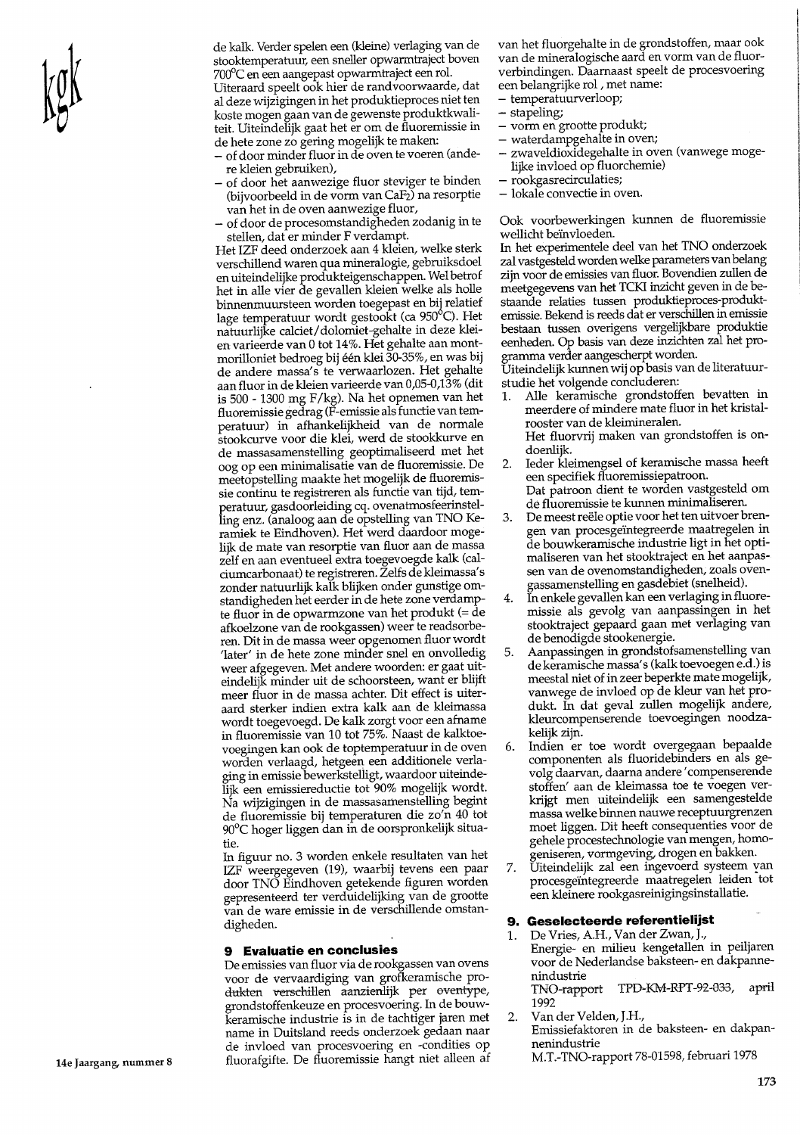de kalk. Verder spelen een (kleine) verlaging van de stooktemperatuur, een sneller opwarmtraject boven 700°C en een aangepast opwarmtraject een rol

Uiteraard speelt ook hier de randvoorwaarde, dat al deze wijzigingen in het produktieproces niet ten koste mogen gaan van de gewenste produktkwaliteit. Uiteindelijk gaat het er om de fluoremissie in de hete zone zo gering mogelijk te maken:

- of door minder fluor in de oven te voeren (andere kleien gebruiken),
- of door het aanwezige fluor steviger te binden (bijvoorbeeld in de vorm van CaF2) na resorptie van het in de oven aanwezige fluor,
- of door de procesomstandigheden zodanig in te stellen, dat er minder F verdampt.

Het IZF deed onderzoek aan 4 kleien, welke sterk verschillend waren qua mineralogie, gebruiksdoel en uiteindelijke produkteigenschappen. Wel betrof het in alle vier de gevallen kleien welke als holle binnenmuursteen worden toegepast en bij relatief lage temperatuur wordt gestookt (ca 950°C). Het natuurlijke calciet/dolomiet-gehalte in deze kleien varieerde van 0 tot 14%. Het gehalte aan montmorilloniet bedroeg bij één klei 30-35%, en was bij de andere massa's te verwaarlozen. Het gehalte aan fluor in de kleien varieerde van 0,05-0,13% (dit is 500 - 1300 mg F/kg). Na het opnemen van het fluoremissie gedrag (F-emissie als functie van temperatuur) in afhankelijkheid van de normale stookcurve voor die klei, werd de stookkurve en de massasamenstelling geoptimaliseerd met het oog op een minimalisatie van de fluoremissie. De meetopstelling maakte het mogelijk de fluoremissie continu te registreren als functie van tijd, temperatuur, gasdoorleiding cq. ovenatmosfeerinstelling enz. (analoog aan de opstelling van TNO Keramiek te Eindhoven). Het werd daardoor mogelijk de mate van resorptie van fluor aan de massa zelf en aan eventueel extra toegevoegde kalk (calciumcarbonaat) te registreren. Želfs de kleimassa's zonder natuurlijk kalk blijken onder gunstige omstandigheden het eerder in de hete zone verdampte fluor in de opwarmzone van het produkt (= de afkoelzone van de rookgassen) weer te readsorberen. Dit in de massa weer opgenomen fluor wordt 'later' in de hete zone minder snel en onvolledig weer afgegeven. Met andere woorden: er gaat uiteindelijk minder uit de schoorsteen, want er blijft meer fluor in de massa achter. Dit effect is uiteraard sterker indien extra kalk aan de kleimassa wordt toegevoegd. De kalk zorgt voor een afname in fluoremissie van 10 tot 75%. Naast de kalktoevoegingen kan ook de toptemperatuur in de oven worden verlaagd, hetgeen een additionele verlaging in emissie bewerkstelligt, waardoor uiteindelijk een emissiereductie tot 90% mogelijk wordt. Na wijzigingen in de massasamenstelling begint de fluoremissie bij temperaturen die zo'n 40 tot 90°C hoger liggen dan in de oorspronkelijk situatie.

In figuur no. 3 worden enkele resultaten van het IZF weergegeven (19), waarbij tevens een paar door TNO Eindhoven getekende figuren worden gepresenteerd ter verduidelijking van de grootte van de ware emissie in de verschillende omstandigheden.

#### 9 Evaluatie en conclusies

De emissies van fluor via de rookgassen van ovens voor de vervaardiging van grofkeramische produkten verschillen aanzienlijk per oventype, grondstoffenkeuze en procesvoering. In de bouw-Keramische industrie is in de tachtiger jaren met name in Duitsland reeds onderzoek gedaan naar de invloed van procesvoering en -condities op fluorafgifte. De fluoremissie hangt niet alleen af

van het fluorgehalte in de grondstoffen, maar ook van de mineralogische aard en vorm van de fluorverbindingen. Daarnaast speelt de procesvoering een belangrijke rol, met name:

- temperatuurverloop;
- $-$  stapeling;
- vorm en grootte produkt;
- waterdampgehalte in oven;
- zwaveldioxidegehalte in oven (vanwege mogelijke invloed op fluorchemie)
- rookgasrecirculaties;
- lokale convectie in oven.

Ook voorbewerkingen kunnen de fluoremissie wellicht beïnvloeden.

In het experimentele deel van het TNO onderzoek zal vastgesteld worden welke parameters van belang zijn voor de emissies van fluor. Bovendien zullen de meetgegevens van het TCKI inzicht geven in de bestaande relaties tussen produktieproces-produktemissie. Bekend is reeds dat er verschillen in emissie bestaan tussen overigens vergelijkbare produktie eenheden. Op basis van deze inzichten zal het pro-

gramma verder aangescherpt worden.<br>Uiteindelijk kunnen wij op basis van de literatuurstudie het volgende concluderen:

- Alle keramische grondstoffen bevatten in 1. meerdere of mindere mate fluor in het kristalrooster van de kleimineralen. Het fluorvrij maken van grondstoffen is ondoenliik.
- Ieder kleimengsel of keramische massa heeft  $2.$ een specifiek fluoremissiepatroon.
- Dat patroon dient te worden vastgesteld om de fluoremissie te kunnen minimaliseren.
- De meest reële optie voor het ten uitvoer bren-3. gen van procesgeïntegreerde maatregelen in de bouwkeramische industrie ligt in het optimaliseren van het stooktraject en het aanpassen van de ovenomstandigheden, zoals ovengassamenstelling en gasdebiet (snelheid).
- In enkele gevallen kan een verlaging in fluore- $\overline{4}$ . missie als gevolg van aanpassingen in het stooktraject gepaard gaan met verlaging van de benodigde stookenergie.
- Aanpassingen in grondstofsamenstelling van 5. de keramische massa's (kalk toevoegen e.d.) is meestal niet of in zeer beperkte mate mogelijk, vanwege de invloed op de kleur van het produkt. In dat geval zullen mogelijk andere, kleurcompenserende toevoegingen noodzakelijk zijn.
- Indien er toe wordt overgegaan bepaalde 6. componenten als fluoridebinders en als gevolg daarvan, daarna andere 'compenserende stoffen' aan de kleimassa toe te voegen verkrijgt men uiteindelijk een samengestelde massa welke binnen nauwe receptuurgrenzen moet liggen. Dit heeft consequenties voor de gehele procestechnologie van mengen, homogeniseren, vormgeving, drogen en bakken.
- Uiteindelijk zal een ingevoerd systeem van 7. procesgeïntegreerde maatregelen leiden tot een kleinere rookgasreinigingsinstallatie.

### 9. Geselecteerde referentielijst

De Vries, A.H., Van der Zwan, J., Energie- en milieu kengetallen in peiljaren voor de Nederlandse baksteen- en dakpannenindustrie

TNO-rapport TPD-KM-RPT-92-033, april 1992

 $2.$ Van der Velden, J.H.,

1.

- Emissiefaktoren in de baksteen- en dakpannenindustrie
- M.T.-TNO-rapport 78-01598, februari 1978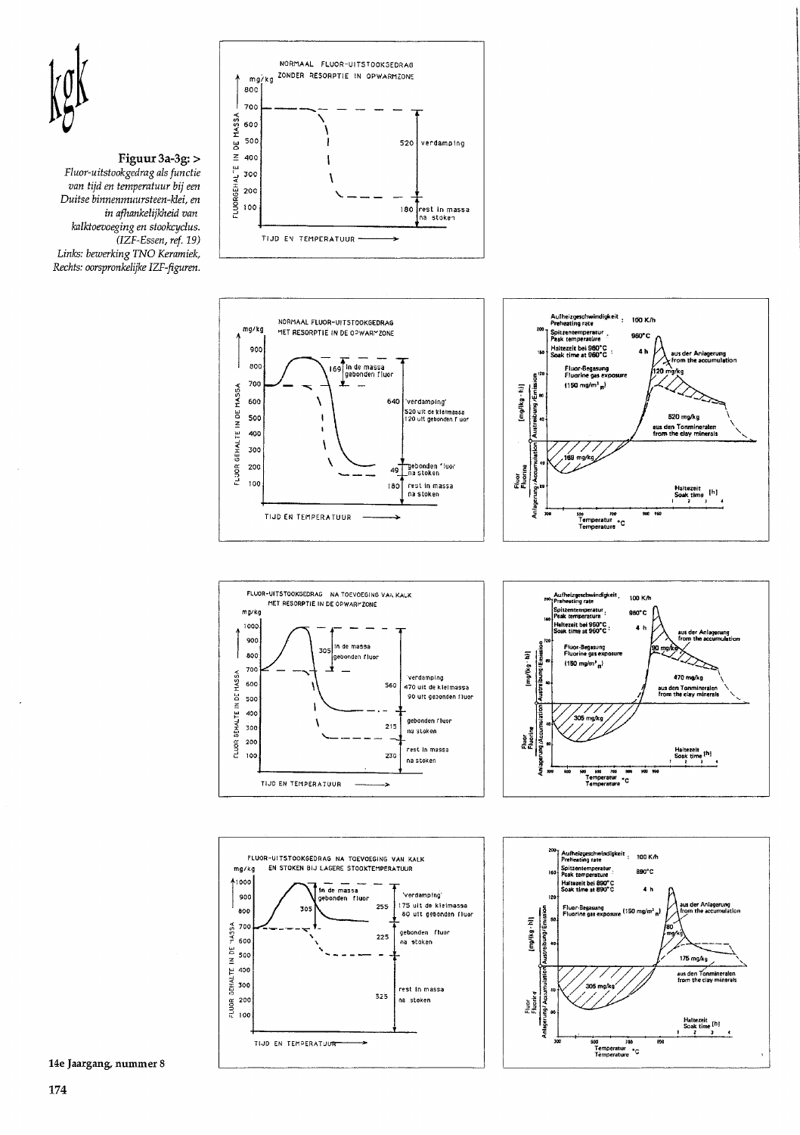

#### Figuur 3a-3g: > Fluor-uitstookgedrag als functie van tijd en temperatuur bij een Duitse binnenmuursteen-klei, en in afhankelijkheid van kalktoevoeging en stookcyclus. (IZF-Essen, ref. 19) Links: bewerking TNO Keramiek, Rechts: oorspronkelijke IZF-figuren.













14e Jaargang, nummer 8